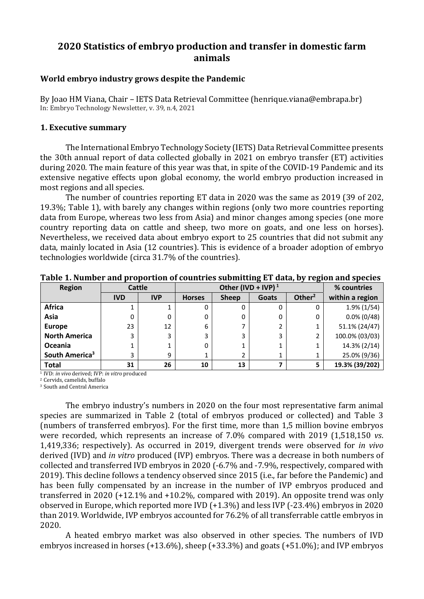# **2020 Statistics of embryo production and transfer in domestic farm animals**

# **World embryo industry grows despite the Pandemic**

By Joao HM Viana, Chair – IETS Data Retrieval Committee (henrique.viana@embrapa.br) In: Embryo Technology Newsletter, v. 39, n.4, 2021

## **1. Executive summary**

The International Embryo Technology Society (IETS) Data Retrieval Committee presents the 30th annual report of data collected globally in 2021 on embryo transfer (ET) activities during 2020. The main feature of this year was that, in spite of the COVID-19 Pandemic and its extensive negative effects upon global economy, the world embryo production increased in most regions and all species.

The number of countries reporting ET data in 2020 was the same as 2019 (39 of 202, 19.3%; Table 1), with barely any changes within regions (only two more countries reporting data from Europe, whereas two less from Asia) and minor changes among species (one more country reporting data on cattle and sheep, two more on goats, and one less on horses). Nevertheless, we received data about embryo export to 25 countries that did not submit any data, mainly located in Asia (12 countries). This is evidence of a broader adoption of embryo technologies worldwide (circa 31.7% of the countries).

| <b>Region</b>              |            | <b>Cattle</b> |               | Other (IVD + IVP) $1$ |       | % countries |                 |
|----------------------------|------------|---------------|---------------|-----------------------|-------|-------------|-----------------|
|                            | <b>IVD</b> | <b>IVP</b>    | <b>Horses</b> | <b>Sheep</b>          | Goats | Other $2$   | within a region |
| <b>Africa</b>              |            |               | 0             |                       |       |             | $1.9\%$ (1/54)  |
| Asia                       | 0          | 0             | 0             | 0                     | 0     | 0           | $0.0\%$ (0/48)  |
| <b>Europe</b>              | 23         | 12            | 6             |                       | 2     |             | 51.1% (24/47)   |
| <b>North America</b>       | 3          | 3             | 3             | 3                     | 3     | 2           | 100.0% (03/03)  |
| Oceania                    |            |               | 0             |                       |       |             | 14.3% (2/14)    |
| South America <sup>3</sup> | 3          | 9             | 1             | 2                     |       |             | 25.0% (9/36)    |
| <b>Total</b>               | 31         | 26            | 10            | 13                    |       | 5           | 19.3% (39/202)  |

**Table 1. Number and proportion of countries submitting ET data, by region and species**

<sup>1</sup> IVD: *in vivo* derived; IVP: *in vitro* produced

<sup>2</sup> Cervids, camelids, buffalo

<sup>3</sup> South and Central America

The embryo industry's numbers in 2020 on the four most representative farm animal species are summarized in Table 2 (total of embryos produced or collected) and Table 3 (numbers of transferred embryos). For the first time, more than 1,5 million bovine embryos were recorded, which represents an increase of 7.0% compared with 2019 (1,518,150 *vs*. 1,419,336; respectively). As occurred in 2019, divergent trends were observed for *in vivo* derived (IVD) and *in vitro* produced (IVP) embryos. There was a decrease in both numbers of collected and transferred IVD embryos in 2020 (-6.7% and -7.9%, respectively, compared with 2019). This decline follows a tendency observed since 2015 (i.e., far before the Pandemic) and has been fully compensated by an increase in the number of IVP embryos produced and transferred in 2020 (+12.1% and +10.2%, compared with 2019). An opposite trend was only observed in Europe, which reported more IVD (+1.3%) and less IVP (-23.4%) embryos in 2020 than 2019. Worldwide, IVP embryos accounted for 76.2% of all transferrable cattle embryos in 2020.

A heated embryo market was also observed in other species. The numbers of IVD embryos increased in horses (+13.6%), sheep (+33.3%) and goats (+51.0%); and IVP embryos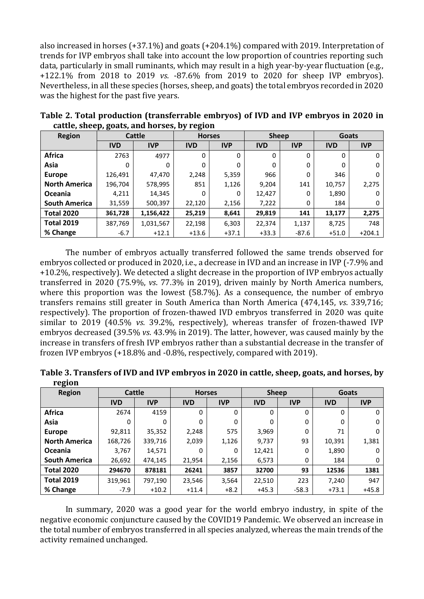also increased in horses (+37.1%) and goats (+204.1%) compared with 2019. Interpretation of trends for IVP embryos shall take into account the low proportion of countries reporting such data, particularly in small ruminants, which may result in a high year-by-year fluctuation (e.g., +122.1% from 2018 to 2019 *vs*. -87.6% from 2019 to 2020 for sheep IVP embryos). Nevertheless, in all these species (horses, sheep, and goats) the total embryos recorded in 2020 was the highest for the past five years.

| <b>Region</b>        | .          | Cattle     |            | <b>Horses</b> | <b>Sheep</b> |            | <b>Goats</b> |            |  |
|----------------------|------------|------------|------------|---------------|--------------|------------|--------------|------------|--|
|                      | <b>IVD</b> | <b>IVP</b> | <b>IVD</b> | <b>IVP</b>    | <b>IVD</b>   | <b>IVP</b> | <b>IVD</b>   | <b>IVP</b> |  |
| <b>Africa</b>        | 2763       | 4977       | 0          | 0             | 0            | $\Omega$   | 0            | 0          |  |
| Asia                 | 0          | 0          | 0          | 0             | 0            | 0          | 0            | 0          |  |
| <b>Europe</b>        | 126,491    | 47,470     | 2,248      | 5,359         | 966          | 0          | 346          | 0          |  |
| <b>North America</b> | 196,704    | 578,995    | 851        | 1,126         | 9,204        | 141        | 10,757       | 2,275      |  |
| <b>Oceania</b>       | 4,211      | 14,345     | 0          | 0             | 12,427       | 0          | 1,890        |            |  |
| <b>South America</b> | 31,559     | 500,397    | 22,120     | 2,156         | 7,222        | 0          | 184          | 0          |  |
| <b>Total 2020</b>    | 361,728    | 1,156,422  | 25,219     | 8,641         | 29,819       | 141        | 13,177       | 2,275      |  |
| <b>Total 2019</b>    | 387,769    | 1,031,567  | 22,198     | 6,303         | 22,374       | 1,137      | 8,725        | 748        |  |
| % Change             | $-6.7$     | $+12.1$    | $+13.6$    | $+37.1$       | $+33.3$      | $-87.6$    | $+51.0$      | $+204.1$   |  |

**Table 2. Total production (transferrable embryos) of IVD and IVP embryos in 2020 in cattle, sheep, goats, and horses, by region**

The number of embryos actually transferred followed the same trends observed for embryos collected or produced in 2020, i.e., a decrease in IVD and an increase in IVP (-7.9% and +10.2%, respectively). We detected a slight decrease in the proportion of IVP embryos actually transferred in 2020 (75.9%, *vs*. 77.3% in 2019), driven mainly by North America numbers, where this proportion was the lowest (58.7%). As a consequence, the number of embryo transfers remains still greater in South America than North America (474,145, *vs*. 339,716; respectively). The proportion of frozen-thawed IVD embryos transferred in 2020 was quite similar to 2019 (40.5% *vs*. 39.2%, respectively), whereas transfer of frozen-thawed IVP embryos decreased (39.5% *vs*. 43.9% in 2019). The latter, however, was caused mainly by the increase in transfers of fresh IVP embryos rather than a substantial decrease in the transfer of frozen IVP embryos (+18.8% and -0.8%, respectively, compared with 2019).

|        | Table 3. Transfers of IVD and IVP embryos in 2020 in cattle, sheep, goats, and horses, by |  |  |
|--------|-------------------------------------------------------------------------------------------|--|--|
| region |                                                                                           |  |  |
|        |                                                                                           |  |  |

| <b>Region</b>        | Cattle     |            | <b>Horses</b> |            | <b>Sheep</b> |            | <b>Goats</b> |            |  |
|----------------------|------------|------------|---------------|------------|--------------|------------|--------------|------------|--|
|                      | <b>IVD</b> | <b>IVP</b> | <b>IVD</b>    | <b>IVP</b> | <b>IVD</b>   | <b>IVP</b> | <b>IVD</b>   | <b>IVP</b> |  |
| <b>Africa</b>        | 2674       | 4159       | 0             | 0          | 0            | 0          | 0            | 0          |  |
| Asia                 | $\Omega$   | 0          | 0             | 0          | 0            | 0          | 0            | 0          |  |
| <b>Europe</b>        | 92,811     | 35,352     | 2,248         | 575        | 3,969        | 0          | 71           | 0          |  |
| <b>North America</b> | 168,726    | 339,716    | 2,039         | 1,126      | 9,737        | 93         | 10,391       | 1,381      |  |
| <b>Oceania</b>       | 3,767      | 14,571     | 0             | 0          | 12,421       | 0          | 1,890        | 0          |  |
| <b>South America</b> | 26,692     | 474,145    | 21,954        | 2,156      | 6,573        | 0          | 184          | 0          |  |
| <b>Total 2020</b>    | 294670     | 878181     | 26241         | 3857       | 32700        | 93         | 12536        | 1381       |  |
| <b>Total 2019</b>    | 319,961    | 797,190    | 23,546        | 3,564      | 22,510       | 223        | 7,240        | 947        |  |
| % Change             | $-7.9$     | $+10.2$    | $+11.4$       | $+8.2$     | $+45.3$      | $-58.3$    | $+73.1$      | $+45.8$    |  |

In summary, 2020 was a good year for the world embryo industry, in spite of the negative economic conjuncture caused by the COVID19 Pandemic. We observed an increase in the total number of embryos transferred in all species analyzed, whereas the main trends of the activity remained unchanged.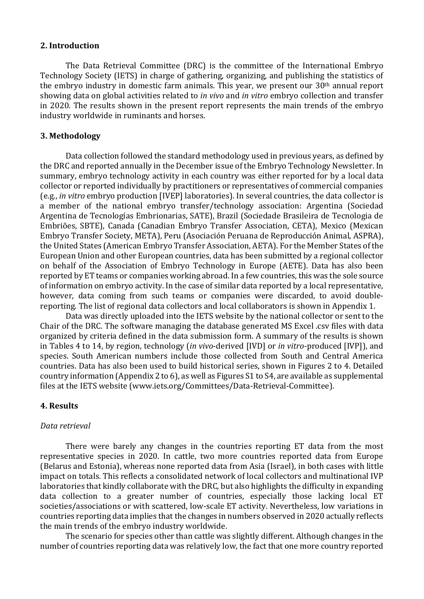## **2. Introduction**

The Data Retrieval Committee (DRC) is the committee of the International Embryo Technology Society (IETS) in charge of gathering, organizing, and publishing the statistics of the embryo industry in domestic farm animals. This year, we present our 30<sup>th</sup> annual report showing data on global activities related to *in vivo* and *in vitro* embryo collection and transfer in 2020. The results shown in the present report represents the main trends of the embryo industry worldwide in ruminants and horses.

## **3. Methodology**

Data collection followed the standard methodology used in previous years, as defined by the DRC and reported annually in the December issue of the Embryo Technology Newsletter. In summary, embryo technology activity in each country was either reported for by a local data collector or reported individually by practitioners or representatives of commercial companies (e.g., *in vitro* embryo production [IVEP] laboratories). In several countries, the data collector is a member of the national embryo transfer/technology association: Argentina (Sociedad Argentina de Tecnologías Embrionarias, SATE), Brazil (Sociedade Brasileira de Tecnologia de Embriões, SBTE), Canada (Canadian Embryo Transfer Association, CETA), Mexico (Mexican Embryo Transfer Society, META), Peru (Asociación Peruana de Reproducción Animal, ASPRA), the United States (American Embryo Transfer Association, AETA). For the Member States of the European Union and other European countries, data has been submitted by a regional collector on behalf of the Association of Embryo Technology in Europe (AETE). Data has also been reported by ET teams or companies working abroad. In a few countries, this was the sole source of information on embryo activity. In the case of similar data reported by a local representative, however, data coming from such teams or companies were discarded, to avoid doublereporting. The list of regional data collectors and local collaborators is shown in Appendix 1.

Data was directly uploaded into the IETS website by the national collector or sent to the Chair of the DRC. The software managing the database generated MS Excel .csv files with data organized by criteria defined in the data submission form. A summary of the results is shown in Tables 4 to 14, by region, technology (*in vivo*-derived [IVD] or *in vitro*-produced [IVP]), and species. South American numbers include those collected from South and Central America countries. Data has also been used to build historical series, shown in Figures 2 to 4. Detailed country information (Appendix 2 to 6), as well as Figures S1 to S4, are available as supplemental files at the IETS website (www.iets.org/Committees/Data-Retrieval-Committee).

#### **4. Results**

## *Data retrieval*

There were barely any changes in the countries reporting ET data from the most representative species in 2020. In cattle, two more countries reported data from Europe (Belarus and Estonia), whereas none reported data from Asia (Israel), in both cases with little impact on totals. This reflects a consolidated network of local collectors and multinational IVP laboratories that kindly collaborate with the DRC, but also highlights the difficulty in expanding data collection to a greater number of countries, especially those lacking local ET societies/associations or with scattered, low-scale ET activity. Nevertheless, low variations in countries reporting data implies that the changes in numbers observed in 2020 actually reflects the main trends of the embryo industry worldwide.

The scenario for species other than cattle was slightly different. Although changes in the number of countries reporting data was relatively low, the fact that one more country reported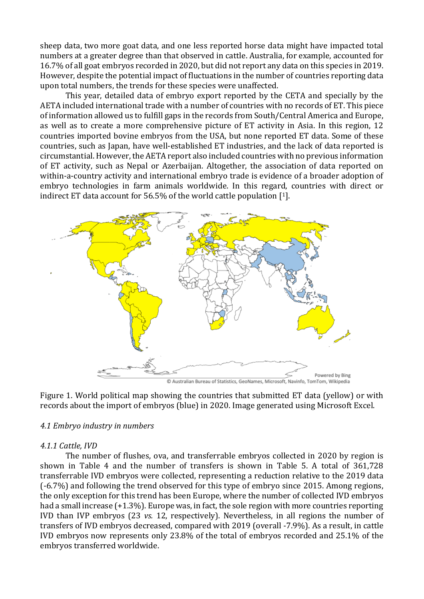sheep data, two more goat data, and one less reported horse data might have impacted total numbers at a greater degree than that observed in cattle. Australia, for example, accounted for 16.7% of all goat embryos recorded in 2020, but did not report any data on this species in 2019. However, despite the potential impact of fluctuations in the number of countries reporting data upon total numbers, the trends for these species were unaffected.

This year, detailed data of embryo export reported by the CETA and specially by the AETA included international trade with a number of countries with no records of ET. This piece of information allowed us to fulfill gaps in the records from South/Central America and Europe, as well as to create a more comprehensive picture of ET activity in Asia. In this region, 12 countries imported bovine embryos from the USA, but none reported ET data. Some of these countries, such as Japan, have well-established ET industries, and the lack of data reported is circumstantial. However, the AETA report also included countries with no previous information of ET activity, such as Nepal or Azerbaijan. Altogether, the association of data reported on within-a-country activity and international embryo trade is evidence of a broader adoption of embryo technologies in farm animals worldwide. In this regard, countries with direct or indirect ET data account for 56.5% of the world cattle population [1].



Figure 1. World political map showing the countries that submitted ET data (yellow) or with records about the import of embryos (blue) in 2020. Image generated using Microsoft Excel.

## *4.1 Embryo industry in numbers*

## *4.1.1 Cattle, IVD*

The number of flushes, ova, and transferrable embryos collected in 2020 by region is shown in Table 4 and the number of transfers is shown in Table 5. A total of 361,728 transferrable IVD embryos were collected, representing a reduction relative to the 2019 data (-6.7%) and following the trend observed for this type of embryo since 2015. Among regions, the only exception for this trend has been Europe, where the number of collected IVD embryos had a small increase (+1.3%). Europe was, in fact, the sole region with more countries reporting IVD than IVP embryos (23 *vs.* 12, respectively). Nevertheless, in all regions the number of transfers of IVD embryos decreased, compared with 2019 (overall -7.9%). As a result, in cattle IVD embryos now represents only 23.8% of the total of embryos recorded and 25.1% of the embryos transferred worldwide.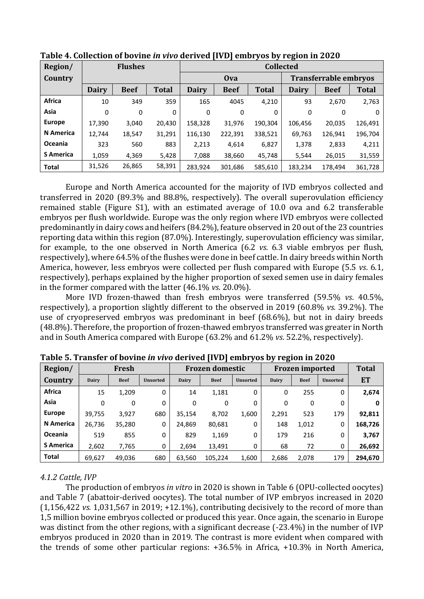| Region/          |              | <b>Flushes</b> |              | <b>Collected</b> |             |              |                              |             |              |  |  |
|------------------|--------------|----------------|--------------|------------------|-------------|--------------|------------------------------|-------------|--------------|--|--|
| Country          |              |                |              |                  | <b>Ova</b>  |              | <b>Transferrable embryos</b> |             |              |  |  |
|                  | <b>Dairy</b> | <b>Beef</b>    | <b>Total</b> | <b>Dairy</b>     | <b>Beef</b> | <b>Total</b> | <b>Dairy</b>                 | <b>Beef</b> | <b>Total</b> |  |  |
| <b>Africa</b>    | 10           | 349            | 359          | 165              | 4045        | 4,210        | 93                           | 2,670       | 2,763        |  |  |
| Asia             | 0            | 0              | 0            | 0                | 0           | 0            | 0                            | 0           | 0            |  |  |
| <b>Europe</b>    | 17,390       | 3,040          | 20,430       | 158,328          | 31,976      | 190,304      | 106,456                      | 20,035      | 126,491      |  |  |
| <b>N</b> America | 12,744       | 18,547         | 31,291       | 116,130          | 222,391     | 338,521      | 69,763                       | 126,941     | 196,704      |  |  |
| Oceania          | 323          | 560            | 883          | 2,213            | 4.614       | 6,827        | 1,378                        | 2,833       | 4,211        |  |  |
| <b>S</b> America | 1.059        | 4.369          | 5,428        | 7.088            | 38,660      | 45,748       | 5,544                        | 26,015      | 31,559       |  |  |
| <b>Total</b>     | 31,526       | 26,865         | 58,391       | 283,924          | 301,686     | 585,610      | 183,234                      | 178.494     | 361,728      |  |  |

**Table 4. Collection of bovine** *in vivo* **derived [IVD] embryos by region in 2020**

Europe and North America accounted for the majority of IVD embryos collected and transferred in 2020 (89.3% and 88.8%, respectively). The overall superovulation efficiency remained stable (Figure S1), with an estimated average of 10.0 ova and 6.2 transferable embryos per flush worldwide. Europe was the only region where IVD embryos were collected predominantly in dairy cows and heifers (84.2%), feature observed in 20 out of the 23 countries reporting data within this region (87.0%). Interestingly, superovulation efficiency was similar, for example, to the one observed in North America (6.2 *vs*. 6.3 viable embryos per flush, respectively), where 64.5% of the flushes were done in beef cattle. In dairy breeds within North America, however, less embryos were collected per flush compared with Europe (5.5 *vs*. 6.1, respectively), perhaps explained by the higher proportion of sexed semen use in dairy females in the former compared with the latter (46.1% *vs*. 20.0%).

More IVD frozen-thawed than fresh embryos were transferred (59.5% *vs*. 40.5%, respectively), a proportion slightly different to the observed in 2019 (60.8% *vs.* 39.2%). The use of cryopreserved embryos was predominant in beef (68.6%), but not in dairy breeds (48.8%). Therefore, the proportion of frozen-thawed embryos transferred was greater in North and in South America compared with Europe (63.2% and 61.2% *vs*. 52.2%, respectively).

| Region/          |              | Fresh       |                 | <b>Frozen domestic</b> |             |                 | ີ     | <b>Frozen imported</b> | <b>Total</b>    |           |
|------------------|--------------|-------------|-----------------|------------------------|-------------|-----------------|-------|------------------------|-----------------|-----------|
| Country          | <b>Dairy</b> | <b>Beef</b> | <b>Unsorted</b> | Dairy                  | <b>Beef</b> | <b>Unsorted</b> | Dairy | <b>Beef</b>            | <b>Unsorted</b> | <b>ET</b> |
| <b>Africa</b>    | 15           | 1.209       | 0               | 14                     | 1,181       | 0               | 0     | 255                    | 0               | 2,674     |
| Asia             | 0            | 0           | 0               | 0                      | 0           | 0               | 0     | 0                      | 0               | 0         |
| <b>Europe</b>    | 39,755       | 3,927       | 680             | 35,154                 | 8,702       | 1,600           | 2,291 | 523                    | 179             | 92,811    |
| N America        | 26,736       | 35,280      | 0               | 24.869                 | 80,681      | 0               | 148   | 1,012                  | 0               | 168,726   |
| Oceania          | 519          | 855         | 0               | 829                    | 1,169       | 0               | 179   | 216                    | 0               | 3,767     |
| <b>S</b> America | 2,602        | 7,765       | 0               | 2,694                  | 13,491      | 0               | 68    | 72                     | 0               | 26,692    |
| <b>Total</b>     | 69,627       | 49.036      | 680             | 63,560                 | 105,224     | 1,600           | 2,686 | 2,078                  | 179             | 294,670   |

**Table 5. Transfer of bovine** *in vivo* **derived [IVD] embryos by region in 2020**

# *4.1.2 Cattle, IVP*

The production of embryos *in vitro* in 2020 is shown in Table 6 (OPU-collected oocytes) and Table 7 (abattoir-derived oocytes). The total number of IVP embryos increased in 2020 (1,156,422 *vs.* 1,031,567 in 2019; +12.1%), contributing decisively to the record of more than 1,5 million bovine embryos collected or produced this year. Once again, the scenario in Europe was distinct from the other regions, with a significant decrease (-23.4%) in the number of IVP embryos produced in 2020 than in 2019. The contrast is more evident when compared with the trends of some other particular regions: +36.5% in Africa, +10.3% in North America,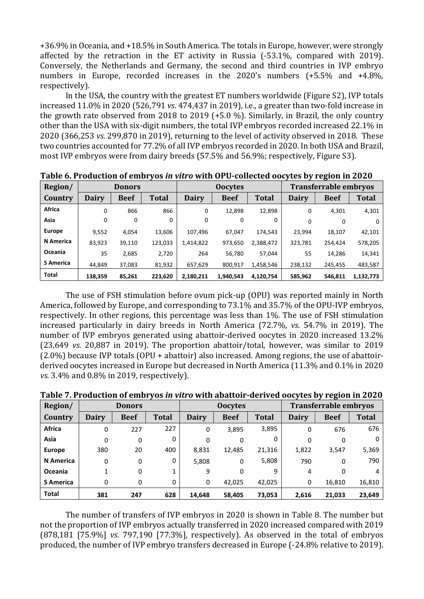+36.9% in Oceania, and +18.5% in South America. The totals in Europe, however, were strongly affected by the retraction in the ET activity in Russia (-53.1%, compared with 2019). Conversely, the Netherlands and Germany, the second and third countries in IVP embryo numbers in Europe, recorded increases in the 2020's numbers (+5.5% and +4.8%, respectively).

In the USA, the country with the greatest ET numbers worldwide (Figure S2), IVP totals increased 11.0% in 2020 (526,791 *vs*. 474,437 in 2019), i.e., a greater than two-fold increase in the growth rate observed from 2018 to 2019 (+5.0 %). Similarly, in Brazil, the only country other than the USA with six-digit numbers, the total IVP embryos recorded increased 22.1% in 2020 (366,253 *vs.* 299,870 in 2019), returning to the level of activity observed in 2018. These two countries accounted for 77.2% of all IVP embryos recorded in 2020. In both USA and Brazil, most IVP embryos were from dairy breeds (57.5% and 56.9%; respectively, Figure S3).

| Region/          |              | <b>Donors</b> |         |              | <b>Oocytes</b> |              |              | <b>Transferrable embryos</b> |              |
|------------------|--------------|---------------|---------|--------------|----------------|--------------|--------------|------------------------------|--------------|
| Country          | <b>Dairy</b> | <b>Beef</b>   | Total   | <b>Dairy</b> | <b>Beef</b>    | <b>Total</b> | <b>Dairy</b> | <b>Beef</b>                  | <b>Total</b> |
| Africa           | 0            | 866           | 866     | 0            | 12,898         | 12,898       | 0            | 4,301                        | 4,301        |
| Asia             | 0            | 0             | 0       | 0            | 0              | 0            | 0            | 0                            |              |
| <b>Europe</b>    | 9,552        | 4,054         | 13,606  | 107,496      | 67.047         | 174.543      | 23.994       | 18,107                       | 42,101       |
| <b>N</b> America | 83,923       | 39,110        | 123,033 | 1,414,822    | 973,650        | 2,388,472    | 323,781      | 254,424                      | 578,205      |
| Oceania          | 35           | 2,685         | 2,720   | 264          | 56.780         | 57.044       | 55           | 14,286                       | 14,341       |
| <b>S</b> America | 44.849       | 37,083        | 81,932  | 657,629      | 800,917        | 1,458,546    | 238,132      | 245,455                      | 483,587      |
| <b>Total</b>     | 138,359      | 85,261        | 223,620 | 2,180,211    | 1.940.543      | 4,120,754    | 585,962      | 546,811                      | 1,132,773    |

**Table 6. Production of embryos** *in vitro* **with OPU-collected oocytes by region in 2020**

The use of FSH stimulation before ovum pick-up (OPU) was reported mainly in North America, followed by Europe, and corresponding to 73.1% and 35.7% of the OPU-IVP embryos, respectively. In other regions, this percentage was less than 1%. The use of FSH stimulation increased particularly in dairy breeds in North America (72.7%, *vs*. 54.7% in 2019). The number of IVP embryos generated using abattoir-derived oocytes in 2020 increased 13.2% (23,649 *vs.* 20,887 in 2019). The proportion abattoir/total, however, was similar to 2019 (2.0%) because IVP totals (OPU + abattoir) also increased. Among regions, the use of abattoirderived oocytes increased in Europe but decreased in North America (11.3% and 0.1% in 2020 *vs.* 3.4% and 0.8% in 2019, respectively).

| Region/          |              | <b>Donors</b> |              |              | <b>Oocytes</b> |              | <b>Transferrable embryos</b> |             |              |  |
|------------------|--------------|---------------|--------------|--------------|----------------|--------------|------------------------------|-------------|--------------|--|
| Country          | <b>Dairy</b> | <b>Beef</b>   | <b>Total</b> | <b>Dairy</b> | <b>Beef</b>    | <b>Total</b> | <b>Dairy</b>                 | <b>Beef</b> | <b>Total</b> |  |
| <b>Africa</b>    | 0            | 227           | 227          | 0            | 3,895          | 3,895        | 0                            | 676         | 676          |  |
| Asia             | 0            | 0             | 0            | 0            | 0              | 0            | 0                            | 0           |              |  |
| <b>Europe</b>    | 380          | 20            | 400          | 8,831        | 12,485         | 21,316       | 1,822                        | 3,547       | 5,369        |  |
| N America        | 0            | 0             | 0            | 5,808        | 0              | 5,808        | 790                          | 0           | 790          |  |
| Oceania          | 1            | 0             |              | 9            | 0              | 9            | 4                            | 0           | 4            |  |
| <b>S</b> America | 0            | 0             | 0            | 0            | 42.025         | 42,025       | 0                            | 16,810      | 16,810       |  |
| <b>Total</b>     | 381          | 247           | 628          | 14,648       | 58,405         | 73,053       | 2,616                        | 21,033      | 23,649       |  |

**Table 7. Production of embryos** *in vitro* **with abattoir-derived oocytes by region in 2020**

The number of transfers of IVP embryos in 2020 is shown in Table 8. The number but not the proportion of IVP embryos actually transferred in 2020 increased compared with 2019 (878,181 [75.9%] *vs.* 797,190 [77.3%], respectively). As observed in the total of embryos produced, the number of IVP embryo transfers decreased in Europe (-24.8% relative to 2019).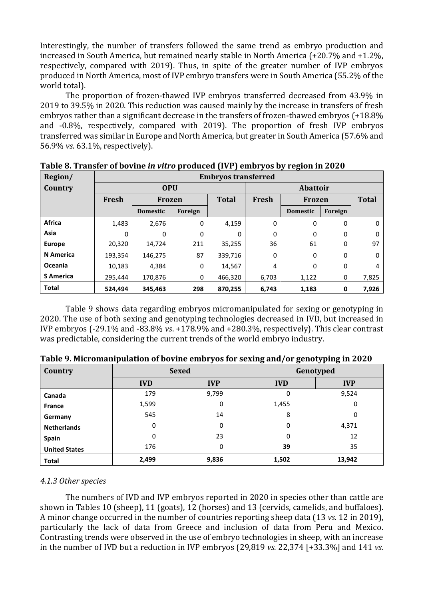Interestingly, the number of transfers followed the same trend as embryo production and increased in South America, but remained nearly stable in North America (+20.7% and +1.2%, respectively, compared with 2019). Thus, in spite of the greater number of IVP embryos produced in North America, most of IVP embryo transfers were in South America (55.2% of the world total).

The proportion of frozen-thawed IVP embryos transferred decreased from 43.9% in 2019 to 39.5% in 2020. This reduction was caused mainly by the increase in transfers of fresh embryos rather than a significant decrease in the transfers of frozen-thawed embryos (+18.8% and -0.8%, respectively, compared with 2019). The proportion of fresh IVP embryos transferred was similar in Europe and North America, but greater in South America (57.6% and 56.9% *vs*. 63.1%, respectively).

| Region/          |            | <b>Embryos transferred</b> |          |              |                 |                 |              |       |  |  |  |
|------------------|------------|----------------------------|----------|--------------|-----------------|-----------------|--------------|-------|--|--|--|
| Country          | <b>OPU</b> |                            |          |              | <b>Abattoir</b> |                 |              |       |  |  |  |
|                  | Fresh      | Frozen                     |          | <b>Total</b> | Fresh           | <b>Frozen</b>   | <b>Total</b> |       |  |  |  |
|                  |            | <b>Domestic</b>            | Foreign  |              |                 | <b>Domestic</b> | Foreign      |       |  |  |  |
| <b>Africa</b>    | 1,483      | 2,676                      | 0        | 4,159        | 0               | 0               | 0            | 0     |  |  |  |
| Asia             | $\Omega$   | 0                          | $\Omega$ | $\Omega$     | 0               | 0               | 0            | 0     |  |  |  |
| <b>Europe</b>    | 20,320     | 14,724                     | 211      | 35,255       | 36              | 61              | 0            | 97    |  |  |  |
| <b>N</b> America | 193,354    | 146,275                    | 87       | 339,716      | 0               | 0               | 0            | 0     |  |  |  |
| Oceania          | 10,183     | 4,384                      | 0        | 14,567       | 4               | 0               | 0            | 4     |  |  |  |
| <b>S</b> America | 295,444    | 170,876                    | 0        | 466,320      | 6,703           | 1,122           | 0            | 7,825 |  |  |  |
| <b>Total</b>     | 524,494    | 345.463                    | 298      | 870,255      | 6,743           | 1,183           | 0            | 7,926 |  |  |  |

**Table 8. Transfer of bovine** *in vitro* **produced (IVP) embryos by region in 2020**

Table 9 shows data regarding embryos micromanipulated for sexing or genotyping in 2020. The use of both sexing and genotyping technologies decreased in IVD, but increased in IVP embryos (-29.1% and -83.8% *vs*. +178.9% and +280.3%, respectively). This clear contrast was predictable, considering the current trends of the world embryo industry.

| Country              |            | <b>Sexed</b> | Genotyped  |            |  |  |  |
|----------------------|------------|--------------|------------|------------|--|--|--|
|                      | <b>IVD</b> | <b>IVP</b>   | <b>IVD</b> | <b>IVP</b> |  |  |  |
| Canada               | 179        | 9,799        | 0          | 9,524      |  |  |  |
| <b>France</b>        | 1,599      | 0            | 1,455      | 0          |  |  |  |
| Germany              | 545        | 14           | 8          | 0          |  |  |  |
| <b>Netherlands</b>   | 0          | 0            | 0          | 4,371      |  |  |  |
| Spain                | 0          | 23           | 0          | 12         |  |  |  |
| <b>United States</b> | 176        | 0            | 39         | 35         |  |  |  |
| <b>Total</b>         | 2,499      | 9,836        | 1,502      | 13,942     |  |  |  |

**Table 9. Micromanipulation of bovine embryos for sexing and/or genotyping in 2020**

# *4.1.3 Other species*

The numbers of IVD and IVP embryos reported in 2020 in species other than cattle are shown in Tables 10 (sheep), 11 (goats), 12 (horses) and 13 (cervids, camelids, and buffaloes). A minor change occurred in the number of countries reporting sheep data (13 *vs.* 12 in 2019), particularly the lack of data from Greece and inclusion of data from Peru and Mexico. Contrasting trends were observed in the use of embryo technologies in sheep, with an increase in the number of IVD but a reduction in IVP embryos (29,819 *vs.* 22,374 [+33.3%] and 141 *vs.*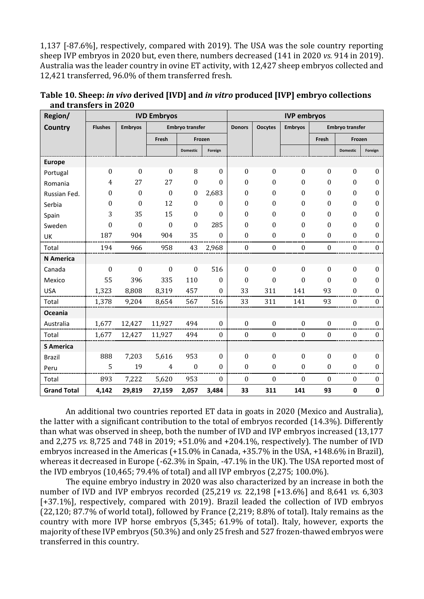1,137 [-87.6%], respectively, compared with 2019). The USA was the sole country reporting sheep IVP embryos in 2020 but, even there, numbers decreased (141 in 2020 *vs.* 914 in 2019). Australia was the leader country in ovine ET activity, with 12,427 sheep embryos collected and 12,421 transferred, 96.0% of them transferred fresh.

| Region/            |                  | <b>IVD Embryos</b> |                        |                  |                  |                  |                  | <b>IVP embryos</b> |                  |                        |                  |
|--------------------|------------------|--------------------|------------------------|------------------|------------------|------------------|------------------|--------------------|------------------|------------------------|------------------|
| <b>Country</b>     | <b>Flushes</b>   | <b>Embryos</b>     | <b>Embryo transfer</b> |                  |                  | <b>Donors</b>    | <b>Oocytes</b>   | <b>Embryos</b>     |                  | <b>Embryo transfer</b> |                  |
|                    |                  |                    | Fresh                  |                  | Frozen           |                  |                  |                    | Fresh            | Frozen                 |                  |
|                    |                  |                    |                        | <b>Domestic</b>  | Foreign          |                  |                  |                    |                  | <b>Domestic</b>        | Foreign          |
| <b>Europe</b>      |                  |                    |                        |                  |                  |                  |                  |                    |                  |                        |                  |
| Portugal           | $\boldsymbol{0}$ | $\mathbf{0}$       | $\boldsymbol{0}$       | 8                | $\theta$         | $\boldsymbol{0}$ | $\boldsymbol{0}$ | $\boldsymbol{0}$   | $\theta$         | $\boldsymbol{0}$       | $\mathbf{0}$     |
| Romania            | $\overline{4}$   | 27                 | 27                     | $\mathbf{0}$     | $\Omega$         | $\theta$         | $\Omega$         | $\Omega$           | $\theta$         | $\Omega$               | $\theta$         |
| Russian Fed.       | 0                | $\boldsymbol{0}$   | $\boldsymbol{0}$       | $\boldsymbol{0}$ | 2,683            | $\mathbf{0}$     | $\mathbf{0}$     | $\theta$           | $\theta$         | $\boldsymbol{0}$       | $\boldsymbol{0}$ |
| Serbia             | 0                | $\Omega$           | 12                     | $\boldsymbol{0}$ | $\theta$         | $\theta$         | $\Omega$         | $\Omega$           | $\Omega$         | $\Omega$               | $\boldsymbol{0}$ |
| Spain              | 3                | 35                 | 15                     | $\mathbf{0}$     | $\theta$         | $\Omega$         | $\Omega$         | $\Omega$           | $\theta$         | $\theta$               | $\mathbf{0}$     |
| Sweden             | $\boldsymbol{0}$ | $\Omega$           | $\boldsymbol{0}$       | $\boldsymbol{0}$ | 285              | $\theta$         | $\boldsymbol{0}$ | $\theta$           | $\theta$         | $\theta$               | $\boldsymbol{0}$ |
| UK                 | 187              | 904                | 904                    | 35               | $\Omega$         | $\theta$         | $\Omega$         | $\theta$           | $\theta$         | $\theta$               | $\boldsymbol{0}$ |
| Total              | 194              | 966                | 958                    | 43               | 2,968            | $\bf{0}$         | $\boldsymbol{0}$ | $\boldsymbol{0}$   | $\boldsymbol{0}$ | $\mathbf{0}$           | $\boldsymbol{0}$ |
| <b>N</b> America   |                  |                    |                        |                  |                  |                  |                  |                    |                  |                        |                  |
| Canada             | $\boldsymbol{0}$ | $\mathbf{0}$       | $\boldsymbol{0}$       | $\boldsymbol{0}$ | 516              | $\Omega$         | $\Omega$         | $\mathbf{0}$       | $\theta$         | $\Omega$               | $\mathbf{0}$     |
| Mexico             | 55               | 396                | 335                    | 110              | $\theta$         | $\theta$         | $\theta$         | $\theta$           | $\theta$         | $\theta$               | $\bf{0}$         |
| <b>USA</b>         | 1,323            | 8,808              | 8,319                  | 457              | $\boldsymbol{0}$ | 33               | 311              | 141                | 93               | $\Omega$               | $\Omega$         |
| Total              | 1,378            | 9,204              | 8,654                  | 567              | 516              | 33               | 311              | 141                | 93               | $\theta$               | $\theta$         |
| <b>Oceania</b>     |                  |                    |                        |                  |                  |                  |                  |                    |                  |                        |                  |
| Australia          | 1,677            | 12,427             | 11,927                 | 494              | $\boldsymbol{0}$ | $\boldsymbol{0}$ | $\boldsymbol{0}$ | $\boldsymbol{0}$   | $\boldsymbol{0}$ | $\boldsymbol{0}$       | $\bf{0}$         |
| Total              | 1,677            | 12,427             | 11,927                 | 494              | $\boldsymbol{0}$ | $\boldsymbol{0}$ | $\boldsymbol{0}$ | $\boldsymbol{0}$   | $\boldsymbol{0}$ | $\boldsymbol{0}$       | $\boldsymbol{0}$ |
| <b>S</b> America   |                  |                    |                        |                  |                  |                  |                  |                    |                  |                        |                  |
| <b>Brazil</b>      | 888              | 7,203              | 5,616                  | 953              | $\mathbf{0}$     | $\boldsymbol{0}$ | $\boldsymbol{0}$ | $\boldsymbol{0}$   | $\boldsymbol{0}$ | $\boldsymbol{0}$       | $\mathbf{0}$     |
| Peru               | 5                | 19                 | 4                      | $\boldsymbol{0}$ | $\boldsymbol{0}$ | $\boldsymbol{0}$ | $\boldsymbol{0}$ | $\mathbf{0}$       | $\boldsymbol{0}$ | $\mathbf{0}$           | $\mathbf{0}$     |
| Total              | 893              | 7,222              | 5,620                  | 953              | $\mathbf{0}$     | $\boldsymbol{0}$ | 0                | $\mathbf{0}$       | $\boldsymbol{0}$ | $\mathbf{0}$           | $\mathbf{0}$     |
| <b>Grand Total</b> | 4,142            | 29,819             | 27,159                 | 2,057            | 3,484            | 33               | 311              | 141                | 93               | 0                      | $\pmb{0}$        |

**Table 10. Sheep:** *in vivo* **derived [IVD] and** *in vitro* **produced [IVP] embryo collections and transfers in 2020**

An additional two countries reported ET data in goats in 2020 (Mexico and Australia), the latter with a significant contribution to the total of embryos recorded (14.3%). Differently than what was observed in sheep, both the number of IVD and IVP embryos increased (13,177 and 2,275 *vs.* 8,725 and 748 in 2019; +51.0% and +204.1%, respectively). The number of IVD embryos increased in the Americas (+15.0% in Canada, +35.7% in the USA, +148.6% in Brazil), whereas it decreased in Europe (-62.3% in Spain, -47.1% in the UK). The USA reported most of the IVD embryos (10,465; 79.4% of total) and all IVP embryos (2,275; 100.0%).

The equine embryo industry in 2020 was also characterized by an increase in both the number of IVD and IVP embryos recorded (25,219 *vs.* 22,198 [+13.6%] and 8,641 *vs.* 6,303 [+37.1%], respectively, compared with 2019). Brazil leaded the collection of IVD embryos (22,120; 87.7% of world total), followed by France (2,219; 8.8% of total). Italy remains as the country with more IVP horse embryos (5,345; 61.9% of total). Italy, however, exports the majority of these IVP embryos (50.3%) and only 25 fresh and 527 frozen-thawed embryos were transferred in this country.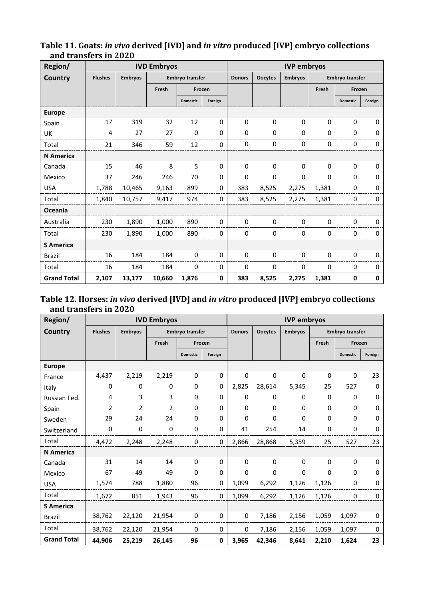| Region/            |                |                | <b>IVD Embryos</b>     |                 |               |                | <b>IVP</b> embryos |              |                        |                 |         |
|--------------------|----------------|----------------|------------------------|-----------------|---------------|----------------|--------------------|--------------|------------------------|-----------------|---------|
| <b>Country</b>     | <b>Flushes</b> | <b>Embryos</b> | <b>Embryo transfer</b> |                 | <b>Donors</b> | <b>Oocytes</b> | <b>Embryos</b>     |              | <b>Embryo transfer</b> |                 |         |
|                    |                |                | Fresh                  | Frozen          |               |                |                    |              | Fresh                  | Frozen          |         |
|                    |                |                |                        | <b>Domestic</b> | Foreign       |                |                    |              |                        | <b>Domestic</b> | Foreign |
| <b>Europe</b>      |                |                |                        |                 |               |                |                    |              |                        |                 |         |
| Spain              | 17             | 319            | 32                     | 12              | 0             | $\Omega$       | $\Omega$           | $\mathbf{0}$ | $\Omega$               | $\mathbf{0}$    | 0       |
| UK                 | 4              | 27             | 27                     | 0               | 0             | $\Omega$       | 0                  | $\mathbf 0$  | $\Omega$               | 0               | 0       |
| Total              | 21             | 346            | 59                     | 12              | $\mathbf 0$   | 0              | 0                  | 0            | 0                      | 0               | 0       |
| <b>N</b> America   |                |                |                        |                 |               |                |                    |              |                        |                 |         |
| Canada             | 15             | 46             | 8                      | 5               | 0             | $\Omega$       | $\Omega$           | $\Omega$     | $\Omega$               | $\Omega$        | 0       |
| Mexico             | 37             | 246            | 246                    | 70              | 0             | $\Omega$       | 0                  | $\Omega$     | 0                      | $\Omega$        | 0       |
| <b>USA</b>         | 1,788          | 10,465         | 9,163                  | 899             | 0             | 383            | 8,525              | 2,275        | 1,381                  | 0               | 0       |
| Total              | 1,840          | 10,757         | 9,417                  | 974             | 0             | 383            | 8,525              | 2,275        | 1,381                  | $\Omega$        | 0       |
| Oceania            |                |                |                        |                 |               |                |                    |              |                        |                 |         |
| Australia          | 230            | 1,890          | 1,000                  | 890             | 0             | 0              | 0                  | 0            | 0                      | 0               | 0       |
| Total              | 230            | 1,890          | 1,000                  | 890             | 0             | 0              | 0                  | 0            | 0                      | 0               | 0       |
| <b>S</b> America   |                |                |                        |                 |               |                |                    |              |                        |                 |         |
| <b>Brazil</b>      | 16             | 184            | 184                    | 0               | 0             | 0              | 0                  | 0            | 0                      | $\Omega$        | 0       |
| Total              | 16             | 184            | 184                    | 0               | 0             | 0              | 0                  | 0            | 0                      | 0               | 0       |
| <b>Grand Total</b> | 2,107          | 13,177         | 10,660                 | 1,876           | 0             | 383            | 8,525              | 2,275        | 1,381                  | 0               | 0       |

# **Table 11. Goats:** *in vivo* **derived [IVD] and** *in vitro* **produced [IVP] embryo collections and transfers in 2020**

# **Table 12. Horses:** *in vivo* **derived [IVD] and** *in vitro* **produced [IVP] embryo collections and transfers in 2020**

| Region/            | <b>IVD Embryos</b> |                |                        |                 |               | <b>IVP</b> embryos |                |                        |          |                 |              |
|--------------------|--------------------|----------------|------------------------|-----------------|---------------|--------------------|----------------|------------------------|----------|-----------------|--------------|
| Country            | <b>Flushes</b>     | <b>Embryos</b> | <b>Embryo transfer</b> |                 | <b>Donors</b> | <b>Oocytes</b>     | <b>Embryos</b> | <b>Embryo transfer</b> |          |                 |              |
|                    |                    |                | Fresh                  | Frozen          |               |                    |                |                        | Fresh    | Frozen          |              |
|                    |                    |                |                        | <b>Domestic</b> | Foreign       |                    |                |                        |          | <b>Domestic</b> | Foreign      |
| <b>Europe</b>      |                    |                |                        |                 |               |                    |                |                        |          |                 |              |
| France             | 4,437              | 2,219          | 2,219                  | 0               | 0             | $\mathbf 0$        | 0              | $\mathbf 0$            | 0        | 0               | 23           |
| Italy              | 0                  | 0              | 0                      | 0               | $\Omega$      | 2,825              | 28,614         | 5,345                  | 25       | 527             | $\mathbf{0}$ |
| Russian Fed.       | 4                  | 3              | 3                      | 0               | $\mathbf{0}$  | 0                  | 0              | 0                      | 0        | 0               | 0            |
| Spain              | $\overline{2}$     | 2              | $\overline{2}$         | $\Omega$        | $\Omega$      | $\Omega$           | 0              | 0                      | 0        | $\Omega$        | $\Omega$     |
| Sweden             | 29                 | 24             | 24                     | 0               | $\Omega$      | 0                  | 0              | $\mathbf 0$            | 0        | $\Omega$        | 0            |
| Switzerland        | 0                  | 0              | 0                      | 0               | $\Omega$      | 41                 | 254            | 14                     | 0        | 0               | 0            |
| Total              | 4,472              | 2,248          | 2,248                  | 0               | 0             | 2,866              | 28,868         | 5,359                  | 25       | 527             | 23           |
| <b>N</b> America   |                    |                |                        |                 |               |                    |                |                        |          |                 |              |
| Canada             | 31                 | 14             | 14                     | 0               | $\Omega$      | $\Omega$           | 0              | $\mathbf 0$            | 0        | 0               | 0            |
| Mexico             | 67                 | 49             | 49                     | $\Omega$        | $\Omega$      | $\Omega$           | $\Omega$       | $\Omega$               | $\Omega$ | $\Omega$        | $\Omega$     |
| <b>USA</b>         | 1,574              | 788            | 1,880                  | 96              | 0             | 1,099              | 6,292          | 1,126                  | 1,126    | 0               | 0            |
| Total              | 1,672              | 851            | 1,943                  | 96              | 0             | 1,099              | 6,292          | 1,126                  | 1,126    | 0               | 0            |
| <b>S</b> America   |                    |                |                        |                 |               |                    |                |                        |          |                 |              |
| <b>Brazil</b>      | 38,762             | 22,120         | 21,954                 | 0               | 0             | 0                  | 7,186          | 2,156                  | 1,059    | 1,097           | 0            |
| Total              | 38,762             | 22,120         | 21,954                 | 0               | 0             | 0                  | 7,186          | 2,156                  | 1,059    | 1,097           | 0            |
| <b>Grand Total</b> | 44,906             | 25,219         | 26,145                 | 96              | 0             | 3,965              | 42,346         | 8,641                  | 2,210    | 1,624           | 23           |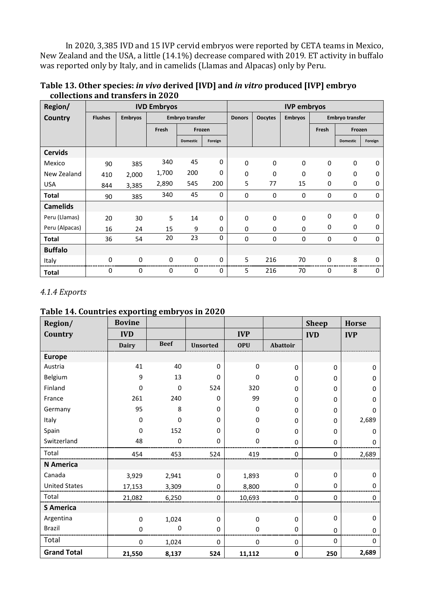In 2020, 3,385 IVD and 15 IVP cervid embryos were reported by CETA teams in Mexico, New Zealand and the USA, a little (14.1%) decrease compared with 2019. ET activity in buffalo was reported only by Italy, and in camelids (Llamas and Alpacas) only by Peru.

| Region/         | <b>IVD Embryos</b> |                |                        |                 |               | <b>IVP</b> embryos |                |                        |             |                 |          |
|-----------------|--------------------|----------------|------------------------|-----------------|---------------|--------------------|----------------|------------------------|-------------|-----------------|----------|
| Country         | <b>Flushes</b>     | <b>Embryos</b> | <b>Embryo transfer</b> |                 | <b>Donors</b> | <b>Oocytes</b>     | <b>Embryos</b> | <b>Embryo transfer</b> |             |                 |          |
|                 |                    |                | Fresh                  | Frozen          |               |                    |                |                        | Fresh       | Frozen          |          |
|                 |                    |                |                        | <b>Domestic</b> | Foreign       |                    |                |                        |             | <b>Domestic</b> | Foreign  |
| <b>Cervids</b>  |                    |                |                        |                 |               |                    |                |                        |             |                 |          |
| Mexico          | 90                 | 385            | 340                    | 45              | 0             | $\Omega$           | $\Omega$       | 0                      | $\mathbf 0$ | $\Omega$        | 0        |
| New Zealand     | 410                | 2,000          | 1,700                  | 200             | 0             | $\Omega$           | 0              | 0                      | 0           | 0               | 0        |
| <b>USA</b>      | 844                | 3,385          | 2,890                  | 545             | 200           | 5                  | 77             | 15                     | 0           | 0               | 0        |
| Total           | 90                 | 385            | 340                    | 45              | 0             | 0                  | 0              | 0                      | 0           | 0               | 0        |
| <b>Camelids</b> |                    |                |                        |                 |               |                    |                |                        |             |                 |          |
| Peru (Llamas)   | 20                 | 30             | 5                      | 14              | 0             | $\mathbf 0$        | $\mathbf 0$    | 0                      | 0           | 0               | 0        |
| Peru (Alpacas)  | 16                 | 24             | 15                     | 9               | $\Omega$      | 0                  | 0              | 0                      | 0           | 0               | 0        |
| Total           | 36                 | 54             | 20                     | 23              | 0             | 0                  | 0              | 0                      | 0           | 0               | 0        |
| <b>Buffalo</b>  |                    |                |                        |                 |               |                    |                |                        |             |                 |          |
| Italy           | 0                  | $\mathbf 0$    | 0                      | 0               | 0             | 5                  | 216            | 70                     | 0           | 8               | 0        |
| <b>Total</b>    | 0                  | $\Omega$       | 0                      | 0               | 0             | 5                  | 216            | 70                     | 0           | 8               | $\Omega$ |

**Table 13. Other species:** *in vivo* **derived [IVD] and** *in vitro* **produced [IVP] embryo collections and transfers in 2020**

# *4.1.4 Exports*

# **Table 14. Countries exporting embryos in 2020**

| Region/              | <b>Bovine</b> |             |                 |             |             | <b>Sheep</b> | <b>Horse</b> |
|----------------------|---------------|-------------|-----------------|-------------|-------------|--------------|--------------|
| Country              | <b>IVD</b>    |             |                 | <b>IVP</b>  |             | <b>IVD</b>   | <b>IVP</b>   |
|                      | <b>Dairy</b>  | <b>Beef</b> | <b>Unsorted</b> | <b>OPU</b>  | Abattoir    |              |              |
| <b>Europe</b>        |               |             |                 |             |             |              |              |
| Austria              | 41            | 40          | $\Omega$        | 0           | 0           | $\mathbf 0$  | 0            |
| Belgium              | 9             | 13          | $\Omega$        | $\mathbf 0$ | $\mathbf 0$ | $\Omega$     | 0            |
| Finland              | 0             | $\Omega$    | 524             | 320         | $\mathbf 0$ | 0            | 0            |
| France               | 261           | 240         | 0               | 99          | 0           | $\Omega$     | $\Omega$     |
| Germany              | 95            | 8           | 0               | 0           | $\Omega$    | 0            | 0            |
| Italy                | $\pmb{0}$     | $\Omega$    | 0               | 0           | $\mathbf 0$ | $\Omega$     | 2,689        |
| Spain                | 0             | 152         | 0               | 0           | 0           | $\Omega$     | 0            |
| Switzerland          | 48            | 0           | 0               | 0           | $\mathbf 0$ | 0            | 0            |
| Total                | 454           | 453         | 524             | 419         | 0           | $\Omega$     | 2,689        |
| <b>N</b> America     |               |             |                 |             |             |              |              |
| Canada               | 3,929         | 2,941       | $\Omega$        | 1,893       | 0           | $\Omega$     | $\Omega$     |
| <b>United States</b> | 17,153        | 3,309       | 0               | 8,800       | $\mathbf 0$ | 0            | 0            |
| Total                | 21,082        | 6,250       | 0               | 10,693      | 0           | 0            | 0            |
| <b>S</b> America     |               |             |                 |             |             |              |              |
| Argentina            | 0             | 1,024       | $\Omega$        | $\mathbf 0$ | $\mathbf 0$ | $\Omega$     | 0            |
| Brazil               | $\pmb{0}$     | 0           | 0               | 0           | 0           | $\Omega$     | $\mathbf{0}$ |
| Total                | $\pmb{0}$     | 1,024       | $\pmb{0}$       | $\pmb{0}$   | $\pmb{0}$   | 0            | 0            |
| <b>Grand Total</b>   | 21,550        | 8,137       | 524             | 11,112      | $\mathbf 0$ | 250          | 2,689        |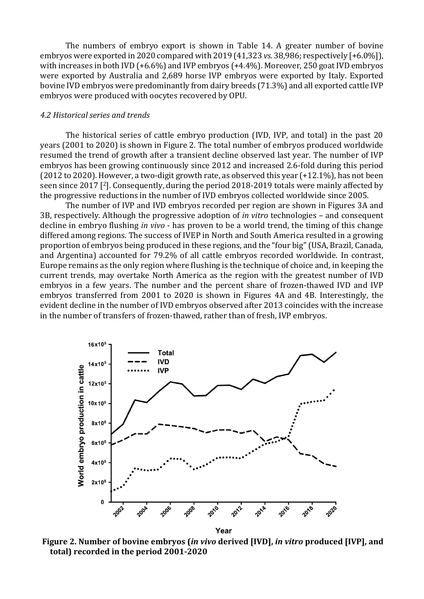The numbers of embryo export is shown in Table 14. A greater number of bovine embryos were exported in 2020 compared with 2019 (41,323 *vs.* 38,986; respectively [+6.0%]), with increases in both IVD (+6.6%) and IVP embryos (+4.4%). Moreover, 250 goat IVD embryos were exported by Australia and 2,689 horse IVP embryos were exported by Italy. Exported bovine IVD embryos were predominantly from dairy breeds (71.3%) and all exported cattle IVP embryos were produced with oocytes recovered by OPU.

### *4.2 Historical series and trends*

The historical series of cattle embryo production (IVD, IVP, and total) in the past 20 years (2001 to 2020) is shown in Figure 2. The total number of embryos produced worldwide resumed the trend of growth after a transient decline observed last year. The number of IVP embryos has been growing continuously since 2012 and increased 2.6-fold during this period (2012 to 2020). However, a two-digit growth rate, as observed this year (+12.1%), has not been seen since 2017 [ <sup>2</sup>]. Consequently, during the period 2018-2019 totals were mainly affected by the progressive reductions in the number of IVD embryos collected worldwide since 2005.

The number of IVP and IVD embryos recorded per region are shown in Figures 3A and 3B, respectively. Although the progressive adoption of *in vitro* technologies – and consequent decline in embryo flushing *in vivo* - has proven to be a world trend, the timing of this change differed among regions. The success of IVEP in North and South America resulted in a growing proportion of embryos being produced in these regions, and the "four big" (USA, Brazil, Canada, and Argentina) accounted for 79.2% of all cattle embryos recorded worldwide. In contrast, Europe remains as the only region where flushing is the technique of choice and, in keeping the current trends, may overtake North America as the region with the greatest number of IVD embryos in a few years. The number and the percent share of frozen-thawed IVD and IVP embryos transferred from 2001 to 2020 is shown in Figures 4A and 4B. Interestingly, the evident decline in the number of IVD embryos observed after 2013 coincides with the increase in the number of transfers of frozen-thawed, rather than of fresh, IVP embryos.



**Figure 2. Number of bovine embryos (***in vivo* **derived [IVD],** *in vitro* **produced [IVP], and total) recorded in the period 2001-2020**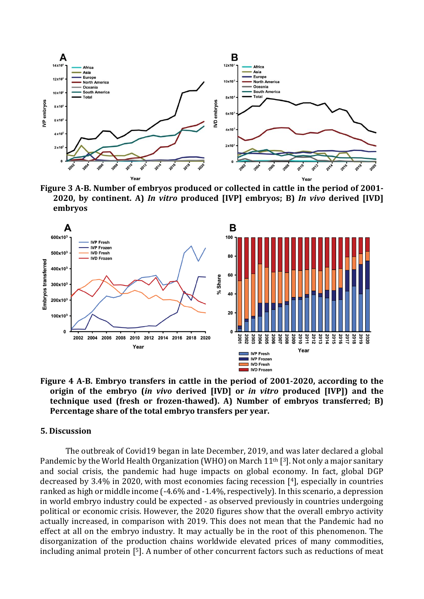

**Figure 3 A-B. Number of embryos produced or collected in cattle in the period of 2001- 2020, by continent. A)** *In vitro* **produced [IVP] embryos; B)** *In vivo* **derived [IVD] embryos**



**Figure 4 A-B. Embryo transfers in cattle in the period of 2001-2020, according to the origin of the embryo (***in vivo* **derived [IVD] or** *in vitro* **produced [IVP]) and the technique used (fresh or frozen-thawed). A) Number of embryos transferred; B) Percentage share of the total embryo transfers per year.**

#### **5. Discussion**

The outbreak of Covid19 began in late December, 2019, and was later declared a global Pandemic by the World Health Organization (WHO) on March 11<sup>th</sup> [<sup>3</sup>]. Not only a major sanitary and social crisis, the pandemic had huge impacts on global economy. In fact, global DGP decreased by 3.4% in 2020, with most economies facing recession [4], especially in countries ranked as high or middle income (-4.6% and -1.4%, respectively). In this scenario, a depression in world embryo industry could be expected - as observed previously in countries undergoing political or economic crisis. However, the 2020 figures show that the overall embryo activity actually increased, in comparison with 2019. This does not mean that the Pandemic had no effect at all on the embryo industry. It may actually be in the root of this phenomenon. The disorganization of the production chains worldwide elevated prices of many commodities, including animal protein [ 5]. A number of other concurrent factors such as reductions of meat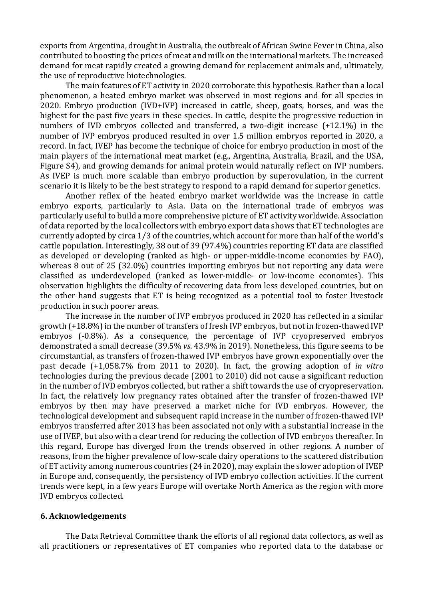exports from Argentina, drought in Australia, the outbreak of African Swine Fever in China, also contributed to boosting the prices of meat and milk on the international markets. The increased demand for meat rapidly created a growing demand for replacement animals and, ultimately, the use of reproductive biotechnologies.

The main features of ET activity in 2020 corroborate this hypothesis. Rather than a local phenomenon, a heated embryo market was observed in most regions and for all species in 2020. Embryo production (IVD+IVP) increased in cattle, sheep, goats, horses, and was the highest for the past five years in these species. In cattle, despite the progressive reduction in numbers of IVD embryos collected and transferred, a two-digit increase (+12.1%) in the number of IVP embryos produced resulted in over 1.5 million embryos reported in 2020, a record. In fact, IVEP has become the technique of choice for embryo production in most of the main players of the international meat market (e.g., Argentina, Australia, Brazil, and the USA, Figure S4), and growing demands for animal protein would naturally reflect on IVP numbers. As IVEP is much more scalable than embryo production by superovulation, in the current scenario it is likely to be the best strategy to respond to a rapid demand for superior genetics.

Another reflex of the heated embryo market worldwide was the increase in cattle embryo exports, particularly to Asia. Data on the international trade of embryos was particularly useful to build a more comprehensive picture of ET activity worldwide. Association of data reported by the local collectors with embryo export data shows that ET technologies are currently adopted by circa 1/3 of the countries, which account for more than half of the world's cattle population. Interestingly, 38 out of 39 (97.4%) countries reporting ET data are classified as developed or developing (ranked as high- or upper-middle-income economies by FAO), whereas 8 out of 25 (32.0%) countries importing embryos but not reporting any data were classified as underdeveloped (ranked as lower-middle- or low-income economies). This observation highlights the difficulty of recovering data from less developed countries, but on the other hand suggests that ET is being recognized as a potential tool to foster livestock production in such poorer areas.

The increase in the number of IVP embryos produced in 2020 has reflected in a similar growth (+18.8%) in the number of transfers of fresh IVP embryos, but not in frozen-thawed IVP embryos (-0.8%). As a consequence, the percentage of IVP cryopreserved embryos demonstrated a small decrease (39.5% *vs*. 43.9% in 2019). Nonetheless, this figure seems to be circumstantial, as transfers of frozen-thawed IVP embryos have grown exponentially over the past decade (+1,058.7% from 2011 to 2020). In fact, the growing adoption of *in vitro* technologies during the previous decade (2001 to 2010) did not cause a significant reduction in the number of IVD embryos collected, but rather a shift towards the use of cryopreservation. In fact, the relatively low pregnancy rates obtained after the transfer of frozen-thawed IVP embryos by then may have preserved a market niche for IVD embryos. However, the technological development and subsequent rapid increase in the number of frozen-thawed IVP embryos transferred after 2013 has been associated not only with a substantial increase in the use of IVEP, but also with a clear trend for reducing the collection of IVD embryos thereafter. In this regard, Europe has diverged from the trends observed in other regions. A number of reasons, from the higher prevalence of low-scale dairy operations to the scattered distribution of ET activity among numerous countries (24 in 2020), may explain the slower adoption of IVEP in Europe and, consequently, the persistency of IVD embryo collection activities. If the current trends were kept, in a few years Europe will overtake North America as the region with more IVD embryos collected.

#### **6. Acknowledgements**

The Data Retrieval Committee thank the efforts of all regional data collectors, as well as all practitioners or representatives of ET companies who reported data to the database or